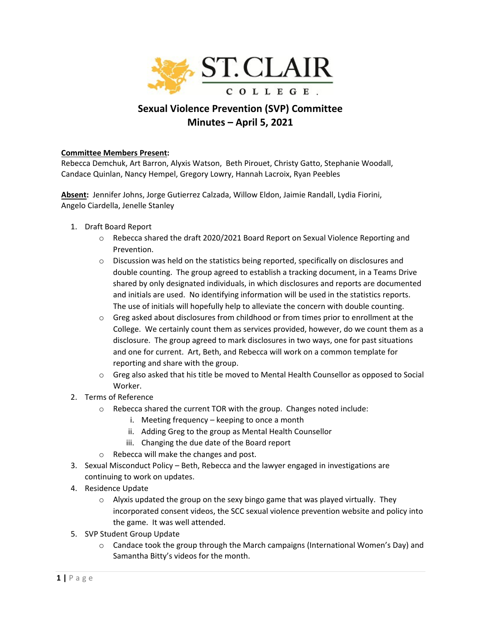

## **Sexual Violence Prevention (SVP) Committee Minutes – April 5, 2021**

## **Committee Members Present:**

Rebecca Demchuk, Art Barron, Alyxis Watson, Beth Pirouet, Christy Gatto, Stephanie Woodall, Candace Quinlan, Nancy Hempel, Gregory Lowry, Hannah Lacroix, Ryan Peebles

**Absent:** Jennifer Johns, Jorge Gutierrez Calzada, Willow Eldon, Jaimie Randall, Lydia Fiorini, Angelo Ciardella, Jenelle Stanley

- 1. Draft Board Report
	- $\circ$  Rebecca shared the draft 2020/2021 Board Report on Sexual Violence Reporting and Prevention.
	- $\circ$  Discussion was held on the statistics being reported, specifically on disclosures and double counting. The group agreed to establish a tracking document, in a Teams Drive shared by only designated individuals, in which disclosures and reports are documented and initials are used. No identifying information will be used in the statistics reports. The use of initials will hopefully help to alleviate the concern with double counting.
	- $\circ$  Greg asked about disclosures from childhood or from times prior to enrollment at the College. We certainly count them as services provided, however, do we count them as a disclosure. The group agreed to mark disclosures in two ways, one for past situations and one for current. Art, Beth, and Rebecca will work on a common template for reporting and share with the group.
	- $\circ$  Greg also asked that his title be moved to Mental Health Counsellor as opposed to Social Worker.
- 2. Terms of Reference
	- o Rebecca shared the current TOR with the group. Changes noted include:
		- i. Meeting frequency keeping to once a month
		- ii. Adding Greg to the group as Mental Health Counsellor
		- iii. Changing the due date of the Board report
	- o Rebecca will make the changes and post.
- 3. Sexual Misconduct Policy Beth, Rebecca and the lawyer engaged in investigations are continuing to work on updates.
- 4. Residence Update
	- $\circ$  Alyxis updated the group on the sexy bingo game that was played virtually. They incorporated consent videos, the SCC sexual violence prevention website and policy into the game. It was well attended.
- 5. SVP Student Group Update
	- $\circ$  Candace took the group through the March campaigns (International Women's Day) and Samantha Bitty's videos for the month.